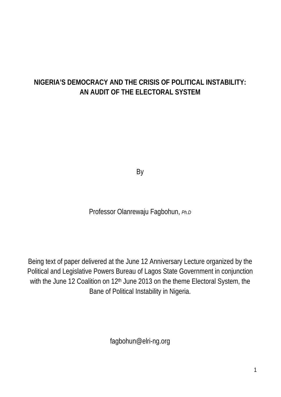# **NIGERIA'S DEMOCRACY AND THE CRISIS OF POLITICAL INSTABILITY: AN AUDIT OF THE ELECTORAL SYSTEM**

By

Professor Olanrewaju Fagbohun, *Ph.D*

Being text of paper delivered at the June 12 Anniversary Lecture organized by the Political and Legislative Powers Bureau of Lagos State Government in conjunction with the June 12 Coalition on 12<sup>th</sup> June 2013 on the theme Electoral System, the Bane of Political Instability in Nigeria.

fagbohun@elri-ng.org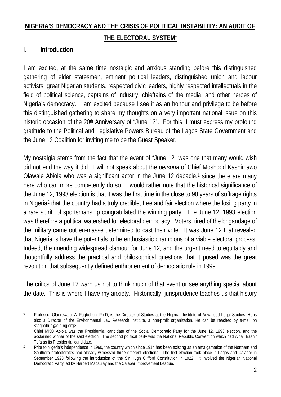# **NIGERIA'S DEMOCRACY AND THE CRISIS OF POLITICAL INSTABILITY: AN AUDIT OF THE ELECTORAL SYSTEM\***

#### I. **Introduction**

I am excited, at the same time nostalgic and anxious standing before this distinguished gathering of elder statesmen, eminent political leaders, distinguished union and labour activists, great Nigerian students, respected civic leaders, highly respected intellectuals in the field of political science, captains of industry, chieftains of the media, and other heroes of Nigeria's democracy. I am excited because I see it as an honour and privilege to be before this distinguished gathering to share my thoughts on a very important national issue on this historic occasion of the 20<sup>th</sup> Anniversary of "June 12". For this, I must express my profound gratitude to the Political and Legislative Powers Bureau of the Lagos State Government and the June 12 Coalition for inviting me to be the Guest Speaker.

My nostalgia stems from the fact that the event of "June 12" was one that many would wish did not end the way it did. I will not speak about the *persona* of Chief Moshood Kashimawo Olawale Abiola who was a significant actor in the June [1](#page-1-0)2 debacle,<sup>1</sup> since there are many here who can more competently do so. I would rather note that the historical significance of the June 12, 1993 election is that it was the first time in the close to 90 years of suffrage rights in Nigeria[2](#page-1-1) that the country had a truly credible, free and fair election where the losing party in a rare spirit of sportsmanship congratulated the winning party. The June 12, 1993 election was therefore a political watershed for electoral democracy. Voters, tired of the brigandage of the military came out en-masse determined to cast their vote. It was June 12 that revealed that Nigerians have the potentials to be enthusiastic champions of a viable electoral process. Indeed, the unending widespread clamour for June 12, and the urgent need to equitably and thoughtfully address the practical and philosophical questions that it posed was the great revolution that subsequently defined enthronement of democratic rule in 1999.

The critics of June 12 warn us not to think much of that event or see anything special about the date. This is where I have my anxiety. Historically, jurisprudence teaches us that history

<span id="page-1-0"></span> <sup>\*</sup> Professor Olanrewaju .A. Fagbohun, Ph.D, is the Director of Studies at the Nigerian Institute of Advanced Legal Studies. He is also a Director of the Environmental Law Research Institute, a non-profit organization. He can be reached by e-mail on <fagbohun@elri-ng.org>.

<sup>1</sup> Chief MKO Abiola was the Presidential candidate of the Social Democratic Party for the June 12, 1993 election, and the acclaimed winner of the said election. The second political party was the National Republic Convention which had Alhaji Bashir Tofa as its Presidential candidate.

<span id="page-1-1"></span><sup>&</sup>lt;sup>2</sup> Prior to Nigeria's independence in 1960, the country which since 1914 has been existing as an amalgamation of the Northern and Southern protectorates had already witnessed three different elections. The first election took place in Lagos and Calabar in September 1923 following the introduction of the Sir Hugh Clifford Constitution in 1922. It involved the Nigerian National Democratic Party led by Herbert Macaulay and the Calabar Improvement League.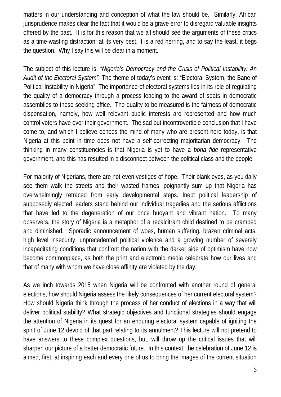matters in our understanding and conception of what the law should be. Similarly, African jurisprudence makes clear the fact that it would be a grave error to disregard valuable insights offered by the past. It is for this reason that we all should see the arguments of these critics as a time-wasting distraction; at its very best, it is a red herring, and to say the least, it begs the question. Why I say this will be clear in a moment.

The subject of this lecture is: *"Nigeria's Democracy and the Crisis of Political Instability: An Audit of the Electoral System".* The theme of today's event is: "Electoral System, the Bane of Political Instability in Nigeria". The importance of electoral systems lies in its role of regulating the quality of a democracy through a process leading to the award of seats in democratic assemblies to those seeking office. The quality to be measured is the fairness of democratic dispensation, namely, how well relevant public interests are represented and how much control voters have over their government. The sad but incontrovertible conclusion that I have come to, and which I believe echoes the mind of many who are present here today, is that Nigeria at this point in time does not have a self-correcting majoritarian democracy. The thinking in many constituencies is that Nigeria is yet to have a *bona fide* representative government, and this has resulted in a disconnect between the political class and the people.

For majority of Nigerians, there are not even vestiges of hope. Their blank eyes, as you daily see them walk the streets and their wasted frames, poignantly sum up that Nigeria has overwhelmingly retraced from early developmental steps. Inept political leadership of supposedly elected leaders stand behind our individual tragedies and the serious afflictions that have led to the degeneration of our once buoyant and vibrant nation. To many observers, the story of Nigeria is a metaphor of a recalcitrant child destined to be cramped and diminished. Sporadic announcement of woes, human suffering, brazen criminal acts, high level insecurity, unprecedented political violence and a growing number of severely incapacitating conditions that confront the nation with the darker side of optimism have now become commonplace, as both the print and electronic media celebrate how our lives and that of many with whom we have close affinity are violated by the day.

As we inch towards 2015 when Nigeria will be confronted with another round of general elections, how should Nigeria assess the likely consequences of her current electoral system? How should Nigeria think through the process of her conduct of elections in a way that will deliver political stability? What strategic objectives and functional strategies should engage the attention of Nigeria in its quest for an enduring electoral system capable of igniting the spirit of June 12 devoid of that part relating to its annulment? This lecture will not pretend to have answers to these complex questions, but, will throw up the critical issues that will sharpen our picture of a better democratic future. In this context, the celebration of June 12 is aimed, first, at inspiring each and every one of us to bring the images of the current situation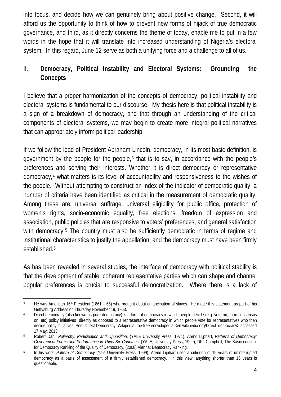into focus, and decide how we can genuinely bring about positive change. Second, it will afford us the opportunity to think of how to prevent new forms of hijack of true democratic governance, and third, as it directly concerns the theme of today, enable me to put in a few words in the hope that it will translate into increased understanding of Nigeria's electoral system. In this regard, June 12 serve as both a unifying force and a challenge to all of us.

#### II. **Democracy, Political Instability and Electoral Systems: Grounding the Concepts**

I believe that a proper harmonization of the concepts of democracy, political instability and electoral systems is fundamental to our discourse. My thesis here is that political instability is a sign of a breakdown of democracy, and that through an understanding of the critical components of electoral systems, we may begin to create more integral political narratives that can appropriately inform political leadership.

If we follow the lead of President Abraham Lincoln, democracy, in its most basic definition, is government by the people for the people, $3$  that is to say, in accordance with the people's preferences and serving their interests. Whether it is direct democracy or representative democracy,[4](#page-3-1) what matters is its level of accountability and responsiveness to the wishes of the people. Without attempting to construct an index of the indicator of democratic quality, a number of criteria have been identified as critical in the measurement of democratic quality. Among these are, universal suffrage, universal eligibility for public office, protection of women's rights, socio-economic equality, free elections, freedom of expression and association, public policies that are responsive to voters' preferences, and general satisfaction with democracy.<sup>[5](#page-3-2)</sup> The country must also be sufficiently democratic in terms of regime and institutional characteristics to justify the appellation, and the democracy must have been firmly established.<sup>[6](#page-3-3)</sup>

As has been revealed in several studies, the interface of democracy with political stability is that the development of stable, coherent representative parties which can shape and channel popular preferences is crucial to successful democratization. Where there is a lack of

<span id="page-3-0"></span> $3$  He was American 16<sup>th</sup> President (1861 – 65) who brought about emancipation of slaves. He made this statement as part of his Gettysburg Address on Thursday November 19, 1963.

<span id="page-3-1"></span><sup>&</sup>lt;sup>4</sup> Direct democracy (also known as pure democracy) is a form of democracy in which people decide (e.g. vote on, form consensus on, etc) policy initiatives directly as opposed to a representative democracy in which people vote for representatives who then decide policy initiatives. See, Direct Democracy, Wikipedia, the free encyclopedia <en.wikipedia.org/Direct\_democracy> accessed 17 May, 2013.

<span id="page-3-2"></span><sup>5</sup> Robert Dahl, *Poliarchy: Participation and Opposition,* (YALE University Press, 1971), Arend Lijphart, *Patterns of Democracy: Government Forms and Performance in Thirty-Six Countries,* (YALE, University Press, 1999), DFJ Campbell, The Basic concept for Democracy Ranking of the Quality of Democracy, (2008) Vienna: Democracy Ranking.

<span id="page-3-3"></span><sup>6</sup> In his work, *Pattern of Democracy* (Yale University Press, 1999), Arend Lijphart used a critierion of 19 years of uninterrupted democracy as a basis of assessment of a firmly established democracy. In this view, anything shorter than 15 years is questionable.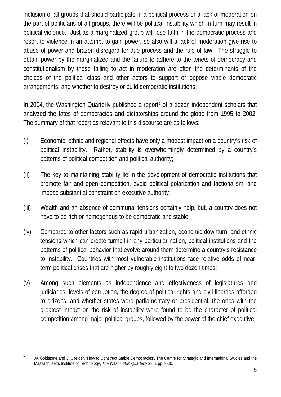inclusion of all groups that should participate in a political process or a lack of moderation on the part of politicians of all groups, there will be political instability which in turn may result in political violence. Just as a marginalized group will lose faith in the democratic process and resort to violence in an attempt to gain power, so also will a lack of moderation give rise to abuse of power and brazen disregard for due process and the rule of law. The struggle to obtain power by the marginalized and the failure to adhere to the tenets of democracy and constitutionalism by those failing to act in moderation are often the determinants of the choices of the political class and other actors to support or oppose viable democratic arrangements, and whether to destroy or build democratic institutions.

In 2004, the Washington Quarterly published a report<sup>[7](#page-4-0)</sup> of a dozen independent scholars that analyzed the fates of democracies and dictatorships around the globe from 1995 to 2002. The summary of that report as relevant to this discourse are as follows:

- (i) Economic, ethnic and regional effects have only a modest impact on a country's risk of political instability. Rather, stability is overwhelmingly determined by a country's patterns of political competition and political authority;
- (ii) The key to maintaining stability lie in the development of democratic institutions that promote fair and open competition, avoid political polarization and factionalism, and impose substantial constraint on executive authority;
- (iii) Wealth and an absence of communal tensions certainly help, but, a country does not have to be rich or homogenous to be democratic and stable;
- (iv) Compared to other factors such as rapid urbanization, economic downturn, and ethnic tensions which can create turmoil in any particular nation, political institutions and the patterns of political behavior that evolve around them determine a country's resistance to instability. Countries with most vulnerable institutions face relative odds of nearterm political crises that are higher by roughly eight to two dozen times;
- (v) Among such elements as independence and effectiveness of legislatures and judiciaries, levels of corruption, the degree of political rights and civil liberties afforded to citizens, and whether states were parliamentary or presidential, the ones with the greatest impact on the risk of instability were found to be the character of political competition among major political groups, followed by the power of the chief executive;

<span id="page-4-0"></span><sup>7</sup> JA Goldstone and J. Ulfelder, 'How to Construct Stable Democracies', The Centre for Strategic and International Studies and the Massachusetts Institute of Technology, *The Washington Quarterly* 28: 1 pp, 9-20.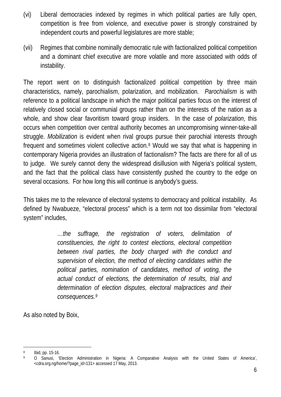- (vi) Liberal democracies indexed by regimes in which political parties are fully open, competition is free from violence, and executive power is strongly constrained by independent courts and powerful legislatures are more stable;
- (vii) Regimes that combine nominally democratic rule with factionalized political competition and a dominant chief executive are more volatile and more associated with odds of instability.

The report went on to distinguish factionalized political competition by three main characteristics, namely, parochialism, polarization, and mobilization. *Parochialism* is with reference to a political landscape in which the major political parties focus on the interest of relatively closed social or communial groups rather than on the interests of the nation as a whole, and show clear favoritism toward group insiders. In the case of *polarization*, this occurs when competition over central authority becomes an uncompromising winner-take-all struggle. *Mobilization* is evident when rival groups pursue their parochial interests through frequent and sometimes violent collective action.<sup>[8](#page-5-0)</sup> Would we say that what is happening in contemporary Nigeria provides an illustration of factionalism? The facts are there for all of us to judge. We surely cannot deny the widespread disillusion with Nigeria's political system, and the fact that the political class have consistently pushed the country to the edge on several occasions. For how long this will continue is anybody's guess.

This takes me to the relevance of electoral systems to democracy and political instability. As defined by Nwabueze, "electoral process" which is a term not too dissimilar from "electoral system" includes,

> *…the suffrage, the registration of voters, delimitation of constituencies, the right to contest elections, electoral competition between rival parties, the body charged with the conduct and supervision of election, the method of electing candidates within the political parties, nomination of candidates, method of voting, the actual conduct of elections, the determination of results, trial and determination of election disputes, electoral malpractices and their consequences. [9](#page-5-1)*

As also noted by Boix,

<span id="page-5-0"></span> <sup>8</sup> Ibid, pp. 15-16.

<span id="page-5-1"></span><sup>9</sup> O Sanusi, 'Election Administration in Nigeria: A Comparative Analysis with the United States of America', <cdra.org.ng/home/?page\_id=131> accessed 17 May, 2013.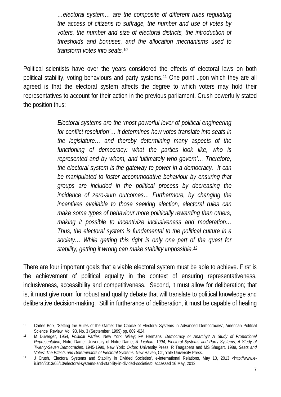*…electoral system… are the composite of different rules regulating the access of citizens to suffrage, the number and use of votes by voters, the number and size of electoral districts, the introduction of thresholds and bonuses, and the allocation mechanisms used to transform votes into seats.[10](#page-6-0)*

Political scientists have over the years considered the effects of electoral laws on both political stability, voting behaviours and party systems.[11](#page-6-1) One point upon which they are all agreed is that the electoral system affects the degree to which voters may hold their representatives to account for their action in the previous parliament. Crush powerfully stated the position thus:

> *Electoral systems are the 'most powerful lever of political engineering for conflict resolution'… it determines how votes translate into seats in the legislature… and thereby determining many aspects of the functioning of democracy: what the parties look like, who is represented and by whom, and 'ultimately who govern'… Therefore, the electoral system is the gateway to power in a democracy. It can be manipulated to foster accommodative behaviour by ensuring that groups are included in the political process by decreasing the incidence of zero-sum outcomes… Furthermore, by changing the incentives available to those seeking election, electoral rules can make some types of behaviour more politically rewarding than others, making it possible to incentivize inclusiveness and moderation… Thus, the electoral system is fundamental to the political culture in a society… While getting this right is only one part of the quest for stability, getting it wrong can make stability impossible. [12](#page-6-2)*

There are four important goals that a viable electoral system must be able to achieve. First is the achievement of political equality in the context of ensuring representativeness, inclusiveness, accessibility and competitiveness. Second, it must allow for deliberation; that is, it must give room for robust and quality debate that will translate to political knowledge and deliberative decision-making. Still in furtherance of deliberation, it must be capable of healing

<span id="page-6-0"></span> <sup>10</sup> Carles Boix, 'Setting the Rules of the Game: The Choice of Electoral Systems in Advanced Democracies', American Political Science Review, Vol. 93, No. 3 (September, 1999) pp. 609 -624.

<span id="page-6-1"></span><sup>11</sup> M Duverger, 1954, *Political Parties,* New York: Wiley; FA Hermans, *Democracy or Anarchy? A Study of Proportional Representation,* Notre Dame: University of Notre Dame; *A. Lijphart, 1994, Electoral Systems and Party Systems, A Study of Twenty-Seven Democracies,* 1945-1990, New York: Oxford University Press; R Taagapera and MS Shugart, 1989, *Seats and Votes: The Effects and Determinants of Electoral Systems,* New Haven, CT, Yale University Press.

<span id="page-6-2"></span><sup>12</sup> J Crush, 'Electoral Systems and Stability in Divided Societies', e-International Relations, May 10, 2013 <http://www.eir.info/2013/05/10/electoral-systems-and-stability-in-divided-societies> accessed 16 May, 2013.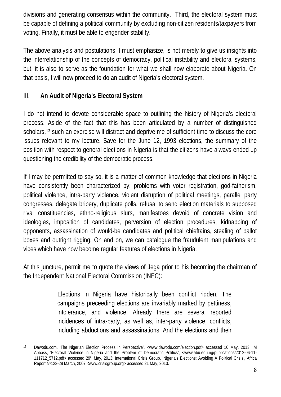divisions and generating consensus within the community. Third, the electoral system must be capable of defining a political community by excluding non-citizen residents/taxpayers from voting. Finally, it must be able to engender stability.

The above analysis and postulations, I must emphasize, is not merely to give us insights into the interrelationship of the concepts of democracy, political instability and electoral systems, but, it is also to serve as the foundation for what we shall now elaborate about Nigeria. On that basis, I will now proceed to do an audit of Nigeria's electoral system.

#### III. **An Audit of Nigeria's Electoral System**

I do not intend to devote considerable space to outlining the history of Nigeria's electoral process. Aside of the fact that this has been articulated by a number of distinguished scholars,<sup>[13](#page-7-0)</sup> such an exercise will distract and deprive me of sufficient time to discuss the core issues relevant to my lecture. Save for the June 12, 1993 elections, the summary of the position with respect to general elections in Nigeria is that the citizens have always ended up questioning the credibility of the democratic process.

If I may be permitted to say so, it is a matter of common knowledge that elections in Nigeria have consistently been characterized by: problems with voter registration, god-fatherism, political violence, intra-party violence, violent disruption of political meetings, parallel party congresses, delegate bribery, duplicate polls, refusal to send election materials to supposed rival constituencies, ethno-religious slurs, manifestoes devoid of concrete vision and ideologies, imposition of candidates, perversion of election procedures, kidnapping of opponents, assassination of would-be candidates and political chieftains, stealing of ballot boxes and outright rigging. On and on, we can catalogue the fraudulent manipulations and vices which have now become regular features of elections in Nigeria.

At this juncture, permit me to quote the views of Jega prior to his becoming the chairman of the Independent National Electoral Commission (INEC):

> Elections in Nigeria have historically been conflict ridden. The campaigns preceeding elections are invariably marked by pettiness, intolerance, and violence. Already there are several reported incidences of intra-party, as well as, inter-party violence, conflicts, including abductions and assassinations. And the elections and their

<span id="page-7-0"></span> <sup>13</sup> Dawodu.com, 'The Nigerian Election Process in Perspective', <www.dawodu.com/election.pdf> accessed 16 May, 2013; IM Abbass, 'Electoral Violence in Nigeria and the Problem of Democratic Politics', <www.abu.edu.ng/publications/2012-06-11- 111712\_5712.pdf> accessed 29th May, 2013; International Crisis Group, 'Nigeria's Elections: Avoiding A Political Crisis', Africa Report Nº123-28 March, 2007 <www.crisisgroup.org> accessed 21 May, 2013.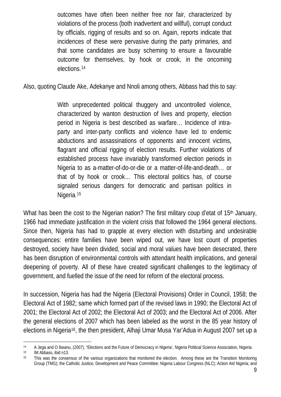outcomes have often been neither free nor fair, characterized by violations of the process (both inadvertent and willful), corrupt conduct by officials, rigging of results and so on. Again, reports indicate that incidences of these were pervasive during the party primaries, and that some candidates are busy scheming to ensure a favourable outcome for themselves, by hook or crook, in the oncoming elections[.14](#page-8-0)

Also, quoting Claude Ake, Adekanye and Nnoli among others, Abbass had this to say:

With unprecedented political thuggery and uncontrolled violence, characterized by wanton destruction of lives and property, election period in Nigeria is best described as warfare… Incidence of intraparty and inter-party conflicts and violence have led to endemic abductions and assassinations of opponents and innocent victims, flagrant and official rigging of election results. Further violations of established process have invariably transformed election periods in Nigeria to as a-matter-of-do-or-die or a matter-of-life-and-death… or that of by hook or crook… This electoral politics has, of course signaled serious dangers for democratic and partisan politics in Nigeria. [15](#page-8-1)

What has been the cost to the Nigerian nation? The first military coup d'etat of 15<sup>th</sup> January, 1966 had immediate justification in the violent crisis that followed the 1964 general elections. Since then, Nigeria has had to grapple at every election with disturbing and undesirable consequences: entire families have been wiped out, we have lost count of properties destroyed, society have been divided, social and moral values have been desecrated, there has been disruption of environmental controls with attendant health implications, and general deepening of poverty. All of these have created significant challenges to the legitimacy of government, and fuelled the issue of the need for reform of the electoral process.

In succession, Nigeria has had the Nigeria (Electoral Provisions) Order in Council, 1958; the Electoral Act of 1982; same which formed part of the revised laws in 1990; the Electoral Act of 2001; the Electoral Act of 2002; the Electoral Act of 2003; and the Electoral Act of 2006. After the general elections of 2007 which has been labeled as the worst in the 85 year history of elections in Nigeria<sup>[16](#page-8-2)</sup>, the then president, Alhaji Umar Musa Yar'Adua in August 2007 set up a

<span id="page-8-0"></span><sup>14</sup> A Jega and O Ibeanu, (2007), "Elections and the Future of Democracy in Nigeria', Nigeria Political Science Association, Nigeria.<br>15 IM Abbass ibid n13

<span id="page-8-1"></span> $15$  IM Abbass, ibid n13.<br> $16$  This was the conser

<span id="page-8-2"></span><sup>16</sup> This was the consensus of the various organizations that monitored the election. Among these are the Transition Monitoring Group (TMG); the Catholic Justice, Development and Peace Committee; Nigeria Labour Congress (NLC); Action Aid Nigeria; and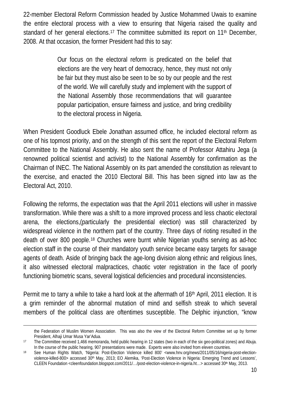22-member Electoral Reform Commission headed by Justice Mohammed Uwais to examine the entire electoral process with a view to ensuring that Nigeria raised the quality and standard of her general elections.[17](#page-9-0) The committee submitted its report on 11th December, 2008. At that occasion, the former President had this to say:

> Our focus on the electoral reform is predicated on the belief that elections are the very heart of democracy, hence, they must not only be fair but they must also be seen to be so by our people and the rest of the world. We will carefully study and implement with the support of the National Assembly those recommendations that will guarantee popular participation, ensure fairness and justice, and bring credibility to the electoral process in Nigeria.

When President Goodluck Ebele Jonathan assumed office, he included electoral reform as one of his topmost priority, and on the strength of this sent the report of the Electoral Reform Committee to the National Assembly. He also sent the name of Professor Attahiru Jega (a renowned political scientist and activist) to the National Assembly for confirmation as the Chairman of INEC. The National Assembly on its part amended the constitution as relevant to the exercise, and enacted the 2010 Electoral Bill. This has been signed into law as the Electoral Act, 2010.

Following the reforms, the expectation was that the April 2011 elections will usher in massive transformation. While there was a shift to a more improved process and less chaotic electoral arena, the elections,(particularly the presidential election) was still characterized by widespread violence in the northern part of the country. Three days of rioting resulted in the death of over 800 people.<sup>[18](#page-9-1)</sup> Churches were burnt while Nigerian youths serving as ad-hoc election staff in the course of their mandatory youth service became easy targets for savage agents of death. Aside of bringing back the age-long division along ethnic and religious lines, it also witnessed electoral malpractices, chaotic voter registration in the face of poorly functioning biometric scans, several logistical deficiencies and procedural inconsistencies.

Permit me to tarry a while to take a hard look at the aftermath of 16th April, 2011 election. It is a grim reminder of the abnormal mutation of mind and selfish streak to which several members of the political class are oftentimes susceptible. The Delphic injunction, "know

the Federation of Muslim Women Association. This was also the view of the Electoral Reform Committee set up by former President, Alhaji Umar Musa Yar'Adua.

<span id="page-9-0"></span><sup>17</sup> The Committee received 1,466 memoranda, held public hearing in 12 states (two in each of the six geo-political zones) and Abuja. In the course of the public hearing, 907 presentations were made. Experts were also invited from eleven countries.

<span id="page-9-1"></span><sup>18</sup> See Human Rights Watch, 'Nigeria: Post-Election Violence killed 800' <www.hnv.org/news/2011/05/16/nigeria-post-electionviolence-killed-800> accessed 30th May, 2013; EO Alemika, 'Post-Election Violence in Nigeria: Emerging Trend and Lessons', CLEEN Foundation <cleenfoundation.blogspot.com/2011/.../post-election-violence-in-nigeria.ht...> accessed 30<sup>th</sup> May, 2013.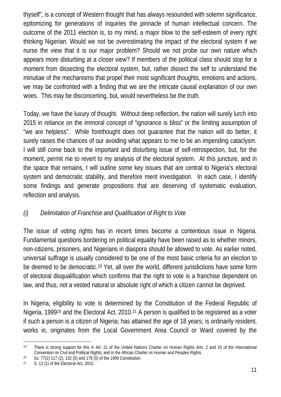thyself", is a concept of Western thought that has always resounded with solemn significance, epitomizing for generations of inquiries the pinnacle of human intellectual concern. The outcome of the 2011 election is, to my mind, a major blow to the self-esteem of every right thinking Nigerian. Would we not be overestimating the impact of the electoral system if we nurse the view that it is our major problem? Should we not probe our own nature which appears more disturbing at a closer view? If members of the political class should stop for a moment from dissecting the electoral system, but, rather dissect the self to understand the minutiae of the mechanisms that propel their most significant thoughts, emotions and actions, we may be confronted with a finding that we are the intricate causal explanation of our own woes. This may be disconcerting, but, would nevertheless be the truth.

Today, we have the luxury of thought. Without deep reflection, the nation will surely lurch into 2015 in reliance on the immoral concept of "ignorance is bliss" or the limiting assumption of "we are helpless". While forethought does not guarantee that the nation will do better, it surely raises the chances of our avoiding what appears to me to be an impending cataclysm. I will still come back to the important and disturbing issue of self-retrospection, but, for the moment, permit me to revert to my analysis of the electoral system. At this juncture, and in the space that remains, I will outline some key issues that are central to Nigeria's electoral system and democratic stability, and therefore merit investigation. In each case, I identify some findings and generate propositions that are deserving of systematic evaluation, reflection and analysis.

## *(i) Delimitation of Franchise and Qualification of Right to Vote*

The issue of voting rights has in recent times become a contentious issue in Nigeria. Fundamental questions bordering on political equality have been raised as to whether minors, non-citizens, prisoners, and Nigerians in diaspora should be allowed to vote. As earlier noted, universal suffrage is usually considered to be one of the most basic criteria for an election to be deemed to be democratic.<sup>[19](#page-10-0)</sup> Yet, all over the world, different jurisdictions have some form of electoral disqualification which confirms that the right to vote is a franchise dependent on law, and thus, not a vested natural or absolute right of which a citizen cannot be deprived.

In Nigeria, eligibility to vote is determined by the Constitution of the Federal Republic of Nigeria, 1999<sup>[20](#page-10-1)</sup> and the Electoral Act, 2010.<sup>[21](#page-10-2)</sup> A person is qualified to be registered as a voter if such a person is a citizen of Nigeria; has attained the age of 18 years; is ordinarily resident, works in, originates from the Local Government Area Council or Ward covered by the

<span id="page-10-0"></span> <sup>19</sup> There is strong support for this in Art. 21 of the United Nations Charter on Human Rights Arts. 2 and 25 of the International Convention on Civil and Political Rights; and in the African Charter on Human and Peoples Rights.

<span id="page-10-1"></span><sup>20</sup> Ss. 77(2) 117 (2), 132 (5) and 178 (5) of the 1999 Constitution.

<span id="page-10-2"></span><sup>21</sup> S. 12 (1) of the Electoral Act, 2010.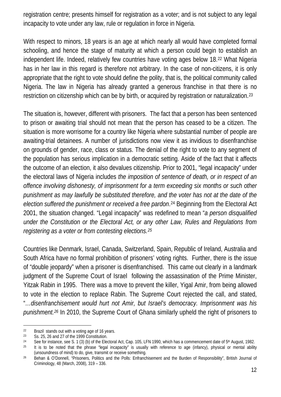registration centre; presents himself for registration as a voter; and is not subject to any legal incapacity to vote under any law, rule or regulation in force in Nigeria.

With respect to minors, 18 years is an age at which nearly all would have completed formal schooling, and hence the stage of maturity at which a person could begin to establish an independent life. Indeed, relatively few countries have voting ages below 18.[22](#page-11-0) What Nigeria has in her law in this regard is therefore not arbitrary. In the case of non-citizens, it is only appropriate that the right to vote should define the polity, that is, the political community called Nigeria. The law in Nigeria has already granted a generous franchise in that there is no restriction on citizenship which can be by birth, or acquired by registration or naturalization.[23](#page-11-1)

The situation is, however, different with prisoners. The fact that a person has been sentenced to prison or awaiting trial should not mean that the person has ceased to be a citizen. The situation is more worrisome for a country like Nigeria where substantial number of people are awaiting-trial detainees. A number of jurisdictions now view it as invidious to disenfranchise on grounds of gender, race, class or status. The denial of the right to vote to any segment of the population has serious implication in a democratic setting. Aside of the fact that it affects the outcome of an election, it also devalues citizenship. Prior to 2001, "legal incapacity" under the electoral laws of Nigeria includes *the imposition of sentence of death, or in respect of an offence involving dishonesty, of imprisonment for a term exceeding six months or such other punishment as may lawfully be substituted therefore, and the voter has not at the date of the election suffered the punishment or received a free pardon*.[24](#page-11-2) Beginning from the Electoral Act 2001, the situation changed. "Legal incapacity" was redefined to mean "*a person disqualified under the Constitution or the Electoral Act, or any other Law, Rules and Regulations from registering as a voter or from contesting elections.[25](#page-11-3)*

Countries like Denmark, Israel, Canada, Switzerland, Spain, Republic of Ireland, Australia and South Africa have no formal prohibition of prisoners' voting rights. Further, there is the issue of "double jeopardy" when a prisoner is disenfranchised. This came out clearly in a landmark judgment of the Supreme Court of Israel following the assassination of the Prime Minister, Yitzak Rabin in 1995. There was a move to prevent the killer, Yigal Amir, from being allowed to vote in the election to replace Rabin. The Supreme Court rejected the call, and stated, "*…disenfranchisement would hurt not Amir, but Israel's democracy. Imprisonment was his punishment.[26](#page-11-4)* In 2010, the Supreme Court of Ghana similarly upheld the right of prisoners to

<span id="page-11-0"></span><sup>&</sup>lt;sup>22</sup> Brazil stands out with a voting age of 16 years.<br><sup>23</sup> Ss  $25\frac{25}{4}$  and 27 of the 1999 Constitution

<span id="page-11-1"></span>Ss. 25, 26 and 27 of the 1999 Constitution.

<span id="page-11-2"></span><sup>&</sup>lt;sup>24</sup> See for instance, see S. 1 (3) (b) of the Electoral Act, Cap. 105, LFN 1990, which has a commencement date of 5<sup>th</sup> August, 1982.

<span id="page-11-3"></span><sup>&</sup>lt;sup>25</sup> It is to be noted that the phrase "legal incapacity" is usually with reference to age (infancy), physical or mental ability (unsoundness of mind) to do, give, transmit or receive something.

<span id="page-11-4"></span><sup>26</sup> Behan & O'Donnell, "Prisoners, Politics and the Polls: Enfranchisement and the Burden of Responsibility", British Journal of Criminology, 48 (March, 2008), 319 – 336.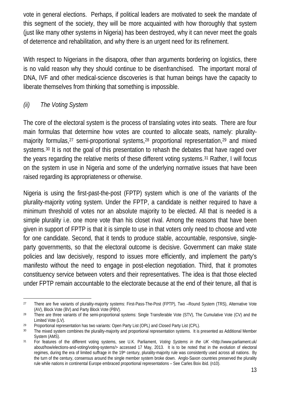vote in general elections. Perhaps, if political leaders are motivated to seek the mandate of this segment of the society, they will be more acquainted with how thoroughly that system (just like many other systems in Nigeria) has been destroyed, why it can never meet the goals of deterrence and rehabilitation, and why there is an urgent need for its refinement.

With respect to Nigerians in the disapora, other than arguments bordering on logistics, there is no valid reason why they should continue to be disenfranchised. The important moral of DNA, IVF and other medical-science discoveries is that human beings have the capacity to liberate themselves from thinking that something is impossible.

#### *(ii) The Voting System*

The core of the electoral system is the process of translating votes into seats. There are four main formulas that determine how votes are counted to allocate seats, namely: plurality-majority formulas,<sup>[27](#page-12-0)</sup> semi-proportional systems,<sup>[28](#page-12-1)</sup> proportional representation,<sup>[29](#page-12-2)</sup> and mixed systems.<sup>[30](#page-12-3)</sup> It is not the goal of this presentation to rehash the debates that have raged over the years regarding the relative merits of these different voting systems.<sup>[31](#page-12-4)</sup> Rather, I will focus on the system in use in Nigeria and some of the underlying normative issues that have been raised regarding its appropriateness or otherwise.

Nigeria is using the first-past-the-post (FPTP) system which is one of the variants of the plurality-majority voting system. Under the FPTP, a candidate is neither required to have a minimum threshold of votes nor an absolute majority to be elected. All that is needed is a simple plurality i.e. one more vote than his closet rival. Among the reasons that have been given in support of FPTP is that it is simple to use in that voters only need to choose and vote for one candidate. Second, that it tends to produce stable, accountable, responsive, singleparty governments, so that the electoral outcome is decisive. Government can make state policies and law decisively, respond to issues more efficiently, and implement the party's manifesto without the need to engage in post-election negotiation. Third, that it promotes constituency service between voters and their representatives. The idea is that those elected under FPTP remain accountable to the electorate because at the end of their tenure, all that is

<span id="page-12-0"></span><sup>&</sup>lt;sup>27</sup> There are five variants of plurality-majority systems: First-Pass-The-Post (FPTP), Two -Round System (TRS), Alternative Vote (AV), Block Vote (BV) and Party Block Vote (PBV).

<span id="page-12-1"></span><sup>&</sup>lt;sup>28</sup> There are three variants of the semi-proportional systems: Single Transferable Vote (STV), The Cumulative Vote (CV) and the Limited Vote (LV).

<span id="page-12-2"></span><sup>&</sup>lt;sup>29</sup> Proportional representation has two variants: Open Party List (OPL) and Closed Party List (CPL).

<span id="page-12-3"></span><sup>&</sup>lt;sup>30</sup> The mixed system combines the plurality-majority and proportional representation systems. It is presented as Additional Member System (AMS).

<span id="page-12-4"></span><sup>31</sup> For features of the different voting systems, see U.K. Parliament, *Voting Systems in the UK* <http://www.parliament.uk/ about/how/elections-and-voting/voting-systems/> accessed 17 May, 2013. It is to be noted that in the evolution of electoral regimes, during the era of limited suffrage in the 19<sup>th</sup> century, plurality-majority rule was consistently used across all nations. By the turn of the century, consensus around the single member system broke down. Anglo-Saxon countries preserved the plurality rule while nations in continental Europe embraced proportional representations – See Carles Boix ibid. (n10).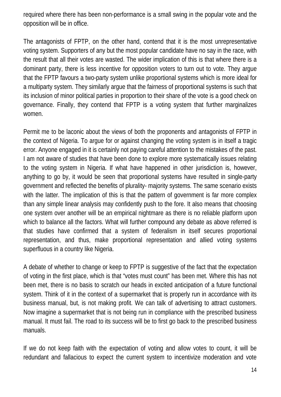required where there has been non-performance is a small swing in the popular vote and the opposition will be in office.

The antagonists of FPTP, on the other hand, contend that it is the most unrepresentative voting system. Supporters of any but the most popular candidate have no say in the race, with the result that all their votes are wasted. The wider implication of this is that where there is a dominant party, there is less incentive for opposition voters to turn out to vote. They argue that the FPTP favours a two-party system unlike proportional systems which is more ideal for a multiparty system. They similarly argue that the fairness of proportional systems is such that its inclusion of minor political parties in proportion to their share of the vote is a good check on governance. Finally, they contend that FPTP is a voting system that further marginalizes women.

Permit me to be laconic about the views of both the proponents and antagonists of FPTP in the context of Nigeria. To argue for or against changing the voting system is in itself a tragic error. Anyone engaged in it is certainly not paying careful attention to the mistakes of the past. I am not aware of studies that have been done to explore more systematically issues relating to the voting system in Nigeria. If what have happened in other jurisdiction is, however, anything to go by, it would be seen that proportional systems have resulted in single-party government and reflected the benefits of plurality- majority systems. The same scenario exists with the latter. The implication of this is that the pattern of government is far more complex than any simple linear analysis may confidently push to the fore. It also means that choosing one system over another will be an empirical nightmare as there is no reliable platform upon which to balance all the factors. What will further compound any debate as above referred is that studies have confirmed that a system of federalism in itself secures proportional representation, and thus, make proportional representation and allied voting systems superfluous in a country like Nigeria.

A debate of whether to change or keep to FPTP is suggestive of the fact that the expectation of voting in the first place, which is that "votes must count" has been met. Where this has not been met, there is no basis to scratch our heads in excited anticipation of a future functional system. Think of it in the context of a supermarket that is properly run in accordance with its business manual, but, is not making profit. We can talk of advertising to attract customers. Now imagine a supermarket that is not being run in compliance with the prescribed business manual. It must fail. The road to its success will be to first go back to the prescribed business manuals.

If we do not keep faith with the expectation of voting and allow votes to count, it will be redundant and fallacious to expect the current system to incentivize moderation and vote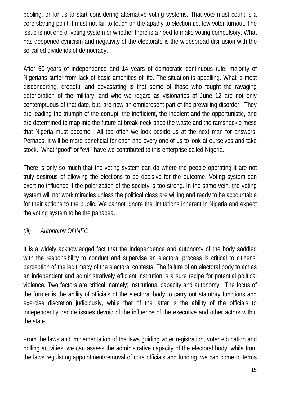pooling, or for us to start considering alternative voting systems. That vote must count is a core starting point. I must not fail to touch on the apathy to election i.e. low voter turnout. The issue is not one of voting system or whether there is a need to make voting compulsory. What has deepened cynicism and negativity of the electorate is the widespread disillusion with the so-called dividends of democracy.

After 50 years of independence and 14 years of democratic continuous rule, majority of Nigerians suffer from lack of basic amenities of life. The situation is appalling. What is most disconcerting, dreadful and devastating is that some of those who fought the ravaging deterioration of the military, and who we regard as visionaries of June 12 are not only contemptuous of that date, but, are now an omnipresent part of the prevailing disorder. They are leading the triumph of the corrupt, the inefficient, the indolent and the opportunistic, and are determined to map into the future at break-neck pace the waste and the ramshackle mess that Nigeria must become. All too often we look beside us at the next man for answers. Perhaps, it will be more beneficial for each and every one of us to look at ourselves and take stock. What "good" or "evil" have we contributed to this enterprise called Nigeria.

There is only so much that the voting system can do where the people operating it are not truly desirous of allowing the elections to be decisive for the outcome. Voting system can exert no influence if the polarization of the society is too strong. In the same vein, the voting system will not work miracles unless the political class are willing and ready to be accountable for their actions to the public. We cannot ignore the limitations inherent in Nigeria and expect the voting system to be the panacea.

## *(iii) Autonomy Of INEC*

It is a widely acknowledged fact that the independence and autonomy of the body saddled with the responsibility to conduct and supervise an electoral process is critical to citizens' perception of the legitimacy of the electoral contests. The failure of an electoral body to act as an independent and administratively efficient institution is a sure recipe for potential political violence. Two factors are critical, namely; institutional capacity and autonomy. The focus of the former is the ability of officials of the electoral body to carry out statutory functions and exercise discretion judiciously, while that of the latter is the ability of the officials to independently decide issues devoid of the influence of the executive and other actors within the state.

From the laws and implementation of the laws guiding voter registration, voter education and polling activities, we can assess the administrative capacity of the electoral body; while from the laws regulating appointment/removal of core officials and funding, we can come to terms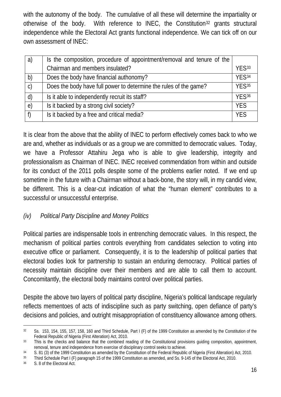with the autonomy of the body. The cumulative of all these will determine the impartiality or otherwise of the body. With reference to INEC, the Constitution[32](#page-15-0) grants structural independence while the Electoral Act grants functional independence. We can tick off on our own assessment of INEC:

| a)            | Is the composition, procedure of appointment/removal and tenure of the |                   |
|---------------|------------------------------------------------------------------------|-------------------|
|               | Chairman and members insulated?                                        | YFS33             |
| b)            | Does the body have financial authonomy?                                | YES <sup>34</sup> |
| $\mathcal{C}$ | Does the body have full power to determine the rules of the game?      | YFS <sup>35</sup> |
| $\mathsf{d}$  | Is it able to independently recruit its staff?                         | YFS <sub>36</sub> |
| $\epsilon$    | Is it backed by a strong civil society?                                | <b>YES</b>        |
| f             | Is it backed by a free and critical media?                             | <b>YFS</b>        |

It is clear from the above that the ability of INEC to perform effectively comes back to who we are and, whether as individuals or as a group we are committed to democratic values. Today, we have a Professor Attahiru Jega who is able to give leadership, integrity and professionalism as Chairman of INEC. INEC received commendation from within and outside for its conduct of the 2011 polls despite some of the problems earlier noted. If we end up sometime in the future with a Chairman without a back-bone, the story will, in my candid view, be different. This is a clear-cut indication of what the "human element" contributes to a successful or unsuccessful enterprise.

#### *(iv) Political Party Discipline and Money Politics*

Political parties are indispensable tools in entrenching democratic values. In this respect, the mechanism of political parties controls everything from candidates selection to voting into executive office or parliament. Consequently, it is to the leadership of political parties that electoral bodies look for partnership to sustain an enduring democracy. Political parties of necessity maintain discipline over their members and are able to call them to account. Concomitantly, the electoral body maintains control over political parties.

Despite the above two layers of political party discipline, Nigeria's political landscape regularly reflects mementoes of acts of indiscipline such as party switching, open defiance of party's decisions and policies, and outright misappropriation of constituency allowance among others.

<span id="page-15-0"></span><sup>32</sup> Ss. 153, 154, 155, 157, 158, 160 and Third Schedule, Part I (F) of the 1999 Constitution as amended by the Constitution of the Federal Republic of Nigeria (First Alteration) Act, 2010.

<span id="page-15-1"></span><sup>&</sup>lt;sup>33</sup> This is the checks and balance that the combined reading of the Constitutional provisions guiding composition, appointment, removal, tenure and independence from exercise of disciplinary control seeks to achieve.

<span id="page-15-2"></span><sup>34</sup> S. 81 (3) of the 1999 Constitution as amended by the Constitution of the Federal Republic of Nigeria (First Alteration) Act, 2010.<br>35 Third Schedule Part L(F) paragraph 15 of the 1999 Constitution as amended and Ss. 9-

<span id="page-15-3"></span><sup>35</sup> Third Schedule Part I (F) paragraph 15 of the 1999 Constitution as amended, and Ss. 9-145 of the Electoral Act, 2010.

<span id="page-15-4"></span><sup>36</sup> S. 8 of the Electoral Act.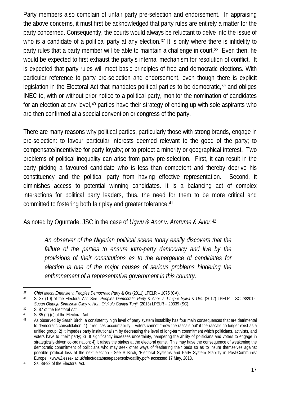Party members also complain of unfair party pre-selection and endorsement. In appraising the above concerns, it must first be acknowledged that party rules are entirely a matter for the party concerned. Consequently, the courts would always be reluctant to delve into the issue of who is a candidate of a political party at any election.<sup>[37](#page-16-0)</sup> It is only where there is infidelity to party rules that a party member will be able to maintain a challenge in court.<sup>38</sup> Even then, he would be expected to first exhaust the party's internal mechanism for resolution of conflict. It is expected that party rules will meet basic principles of free and democratic elections. With particular reference to party pre-selection and endorsement, even though there is explicit legislation in the Electoral Act that mandates political parties to be democratic,<sup>[39](#page-16-2)</sup> and obliges INEC to, with or without prior notice to a political party, monitor the nomination of candidates for an election at any level,<sup>[40](#page-16-3)</sup> parties have their strategy of ending up with sole aspirants who are then confirmed at a special convention or congress of the party.

There are many reasons why political parties, particularly those with strong brands, engage in pre-selection: to favour particular interests deemed relevant to the good of the party; to compensate/incentivize for party loyalty; or to protect a minority or geographical interest. Two problems of political inequality can arise from party pre-selection. First, it can result in the party picking a favoured candidate who is less than competent and thereby deprive his constituency and the political party from having effective representation. Second, it diminishes access to potential winning candidates. It is a balancing act of complex interactions for political party leaders, thus, the need for them to be more critical and committed to fostering both fair play and greater tolerance. [41](#page-16-4)

As noted by Oguntade, JSC in the case of *Ugwu & Anor v. Ararume & Anor*.[42](#page-16-5)

*An observer of the Nigerian political scene today easily discovers that the failure of the parties to ensure intra-party democracy and live by the provisions of their constitutions as to the emergence of candidates for election is one of the major causes of serious problems hindering the enthronement of a representative government in this country.*

<span id="page-16-0"></span> $\overline{a}$ *<sup>37</sup> Chief Ikechi Emenike v. Peoples Democratic Party & Ors* (2011) LPELR – 1075 (CA).

<span id="page-16-1"></span><sup>38</sup> S. 87 (10) of the Electoral Act. See *Peoples Democratic Party & Anor v. Timipre Sylva & Ors.* (2012) LPELR – SC.28/2012; *Susan Olapeju Sinmisola Olley v. Hon. Olukolu Ganiyu Tunji* (2013) LPELR – 20339 (SC).

<span id="page-16-2"></span> $39$  S. 87 of the Electoral Act.<br> $40$  S. 85 (2) (c) of the Elector

<span id="page-16-3"></span><sup>40</sup> S.  $85$  (2) (c) of the Electoral Act.<br>41 As observed by Sarah Birch a c

<span id="page-16-4"></span>As observed by Sarah Birch, a consistently high level of party system instability has four main consequences that are detrimental to democratic consolidation: 1) It reduces accountability – voters cannot 'throw the rascals out' if the rascals no longer exist as a unified group; 2) It impedes party institutionalism by decreasing the level of long-term commitment which politicians, activists, and voters have to 'their' party; 3) It significantly increases uncertainty, hampering the ability of politicians and voters to engage in strategically-driven co-ordination; 4) It raises the stakes at the electoral game. This may have the consequence of weakening the democratic commitment of politicians who may seek other ways of feathering their beds so as to insure themselves against possible political loss at the next election - See S Birch, 'Electoral Systems and Party System Stability in Post-Communist Europe', <www2.essex.ac.uk/elect/database/papers/sbvoatility.pdf> accessed 17 May, 2013.

<span id="page-16-5"></span><sup>42</sup> Ss. 88-93 of the Electoral Act.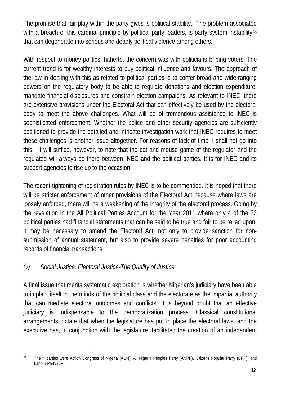The promise that fair play within the party gives is political stability. The problem associated with a breach of this cardinal principle by political party leaders, is party system instability<sup>[43](#page-17-0)</sup> that can degenerate into serious and deadly political violence among others.

With respect to money politics, hitherto, the concern was with politicians bribing voters. The current trend is for wealthy interests to buy political influence and favours. The approach of the law in dealing with this as related to political parties is to confer broad and wide-ranging powers on the regulatory body to be able to regulate donations and election expenditure, mandate financial disclosures and constrain election campaigns. As relevant to INEC, there are extensive provisions under the Electoral Act that can effectively be used by the electoral body to meet the above challenges. What will be of tremendous assistance to INEC is sophisticated enforcement. Whether the police and other security agencies are sufficiently positioned to provide the detailed and intricate investigation work that INEC requires to meet these challenges is another issue altogether. For reasons of lack of time, I shall not go into this. It will suffice, however, to note that the cat and mouse game of the regulator and the regulated will always be there between INEC and the political parties. It is for INEC and its support agencies to rise up to the occasion.

The recent tightening of registration rules by INEC is to be commended. It is hoped that there will be stricter enforcement of other provisions of the Electoral Act because where laws are loosely enforced, there will be a weakening of the integrity of the electoral process. Going by the revelation in the All Political Parties Account for the Year 2011 where only 4 of the 23 political parties had financial statements that can be said to be true and fair to be relied upon, it may be necessary to amend the Electoral Act, not only to provide sanction for nonsubmission of annual statement, but also to provide severe penalties for poor accounting records of financial transactions.

#### *(v) Social Justice, Electoral Justice-The Quality of Justice*

A final issue that merits systematic exploration is whether Nigerian's judiciary have been able to implant itself in the minds of the political class and the electorate as the impartial authority that can mediate electoral outcomes and conflicts. It is beyond doubt that an effective judiciary is indispensable to the democratization process. Classical constitutional arrangements dictate that when the legislature has put in place the electoral laws, and the executive has, in conjunction with the legislature, facilitated the creation of an independent

<span id="page-17-0"></span><sup>43</sup> The 4 parties were Action Congress of Nigeria (ACN), All Nigeria Peoples Party (ANPP), Citizens Popular Party (CPP), and Labour Party (LP).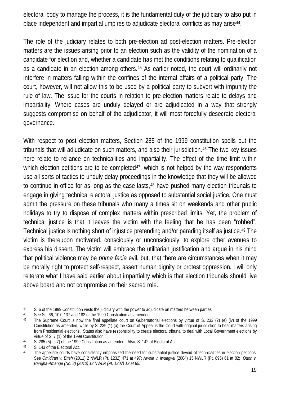electoral body to manage the process, it is the fundamental duty of the judiciary to also put in place independent and impartial umpires to adjudicate electoral conflicts as may aris[e44](#page-18-0) .

The role of the judiciary relates to both pre-election ad post-election matters. Pre-election matters are the issues arising prior to an election such as the validity of the nomination of a candidate for election and, whether a candidate has met the conditions relating to qualification as a candidate in an election among others. [45](#page-18-1) As earlier noted, the court will ordinarily not interfere in matters falling within the confines of the internal affairs of a political party. The court, however, will not allow this to be used by a political party to subvert with impunity the rule of law. The issue for the courts in relation to pre-election matters relate to delays and impartiality. Where cases are unduly delayed or are adjudicated in a way that strongly suggests compromise on behalf of the adjudicator, it will most forcefully desecrate electoral governance.

With respect to post election matters, Section 285 of the 1999 constitution spells out the tribunals that will adjudicate on such matters, and also their jurisdiction. [46](#page-18-2) The two key issues here relate to reliance on technicalities and impartiality. The effect of the time limit within which election petitions are to be completed<sup>[47](#page-18-3)</sup>, which is not helped by the way respondents use all sorts of tactics to unduly delay proceedings in the knowledge that they will be allowed to continue in office for as long as the case lasts,<sup>[48](#page-18-4)</sup> have pushed many election tribunals to engage in giving technical electoral justice as opposed to substantial social justice. One must admit the pressure on these tribunals who many a times sit on weekends and other public holidays to try to dispose of complex matters within prescribed limits. Yet, the problem of technical justice is that it leaves the victim with the feeling that he has been "robbed". Technical justice is nothing short of injustice pretending and/or parading itself as justice.<sup>[49](#page-18-5)</sup> The victim is thereupon motivated, consciously or unconsciously, to explore other avenues to express his dissent. The victim will embrace the utilitarian justification and argue in his mind that political violence may be *prima facie* evil, but, that there are circumstances when it may be morally right to protect self-respect, assert human dignity or protest oppression. I will only reiterate what I have said earlier about impartiality which is that election tribunals should live above board and not compromise on their sacred role.

<span id="page-18-0"></span><sup>44</sup> S. 6 of the 1999 Constitution vests the judiciary with the power to adjudicate on matters between parties.<br>45 See Ss. 66, 107, 137 and 182 of the 1999 Constitution as amended

See Ss. 66, 107, 137 and 182 of the 1999 Constitution as amended.

<span id="page-18-2"></span><span id="page-18-1"></span><sup>46</sup> The Supreme Court is now the final appellate court on Gubernatorial elections by virtue of S. 233 (2) (e) (iv) of the 1999 Constitution as amended, while by S. 239 (1) (a) the Court of Appeal is the Court with original jurisdiction to hear matters arising from Presidential elections. States also have responsibility to create electoral tribunal to deal with Local Government elections by virtue of S. 7 (1) of the 1999 Constitution.

<span id="page-18-3"></span><sup>47</sup> S. 285 (5) – (7) of the 1999 Constitution as amended. Also, S. 142 of Electoral Act.

<span id="page-18-5"></span><span id="page-18-4"></span> $48$  S. 143 of the Electoral Act.<br> $49$  The annellate courts have

The appellate courts have consistently emphasized the need for substantial justice devoid of technicalities in election petitions. See *Omidiran v. Etteh* (2011) 2 NWLR (Pt. 1232) 471 at 497; *Nwole v. Iwuagwu* (2004) 15 NWLR (Pt. 895) 61 at 82; *Odon v. Barigha-Amange (No. 2) (2010) 12 NWLR (Pt. 1207) 13 at 65.*